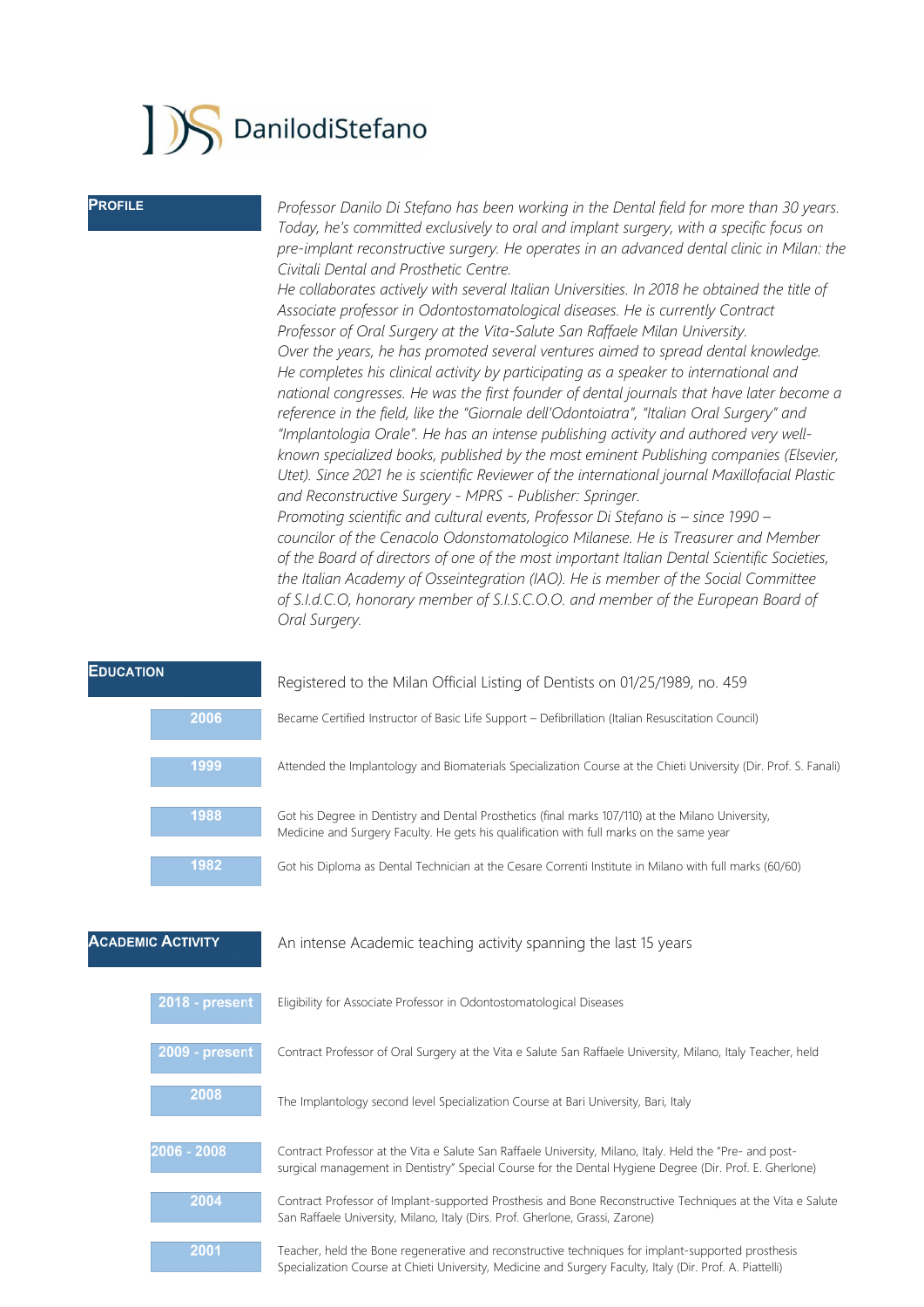## DanilodiStefano

**PROFILE** *Professor Danilo Di Stefano has been working in the Dental field for more than 30 years. Today, he's committed exclusively to oral and implant surgery, with a specific focus on pre-implant reconstructive surgery. He operates in an advanced dental clinic in Milan: the Civitali Dental and Prosthetic Centre.*

> *He collaborates actively with several Italian Universities. In 2018 he obtained the title of Associate professor in Odontostomatological diseases. He is currently Contract Professor of Oral Surgery at the Vita-Salute San Raffaele Milan University. Over the years, he has promoted several ventures aimed to spread dental knowledge. He completes his clinical activity by participating as a speaker to international and national congresses. He was the first founder of dental journals that have later become a reference in the field, like the "Giornale dell'Odontoiatra", "Italian Oral Surgery" and "Implantologia Orale". He has an intense publishing activity and authored very wellknown specialized books, published by the most eminent Publishing companies (Elsevier, Utet). Since 2021 he is scientific Reviewer of the international journal Maxillofacial Plastic and Reconstructive Surgery - MPRS - Publisher: Springer. Promoting scientific and cultural events, Professor Di Stefano is – since 1990 –*

*councilor of the Cenacolo Odonstomatologico Milanese. He is Treasurer and Member of the Board of directors of one of the most important Italian Dental Scientific Societies, the Italian Academy of Osseintegration (IAO). He is member of the Social Committee of S.I.d.C.O, honorary member of S.I.S.C.O.O. and member of the European Board of Oral Surgery.*

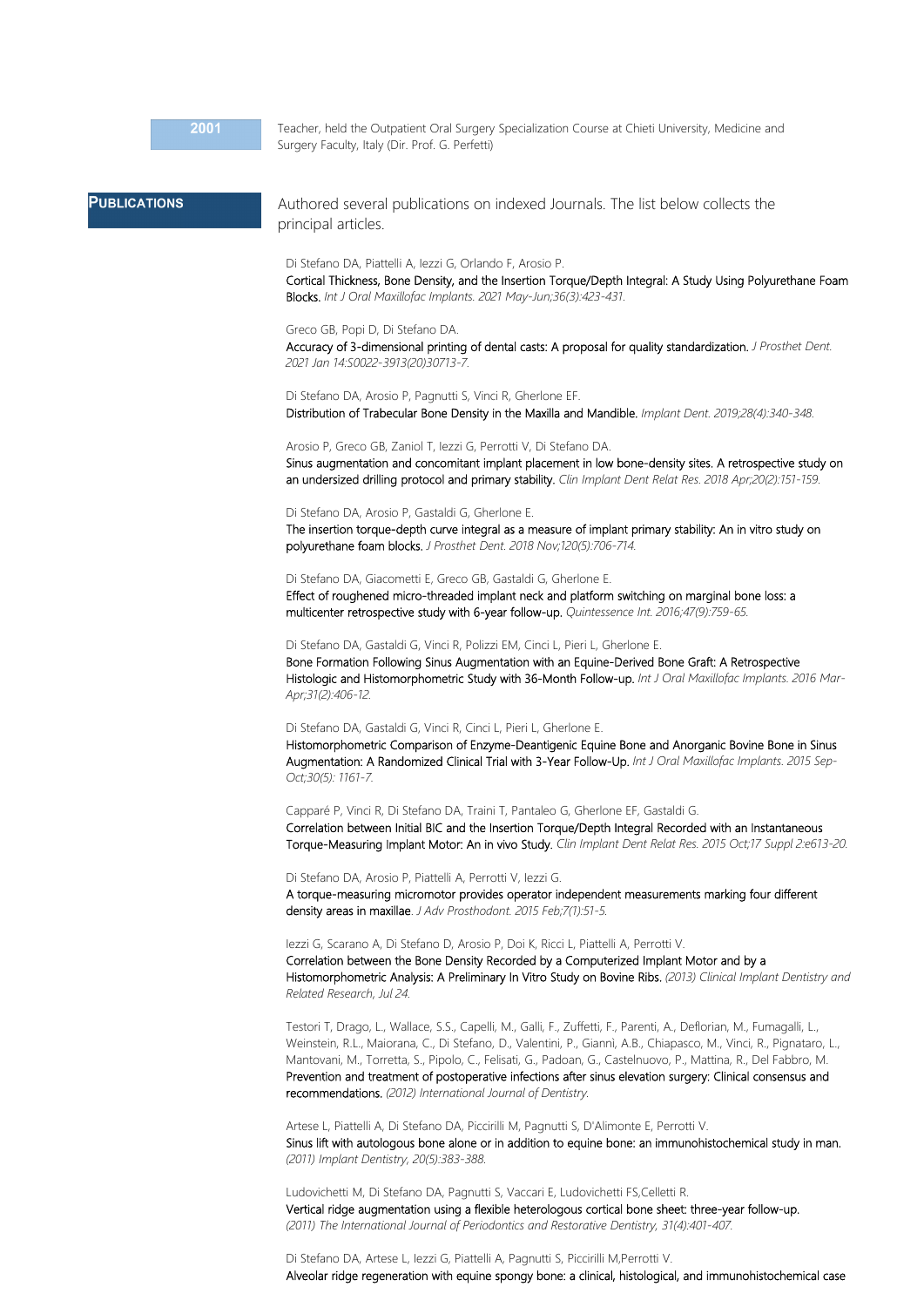Teacher, held the Outpatient Oral Surgery Specialization Course at Chieti University, Medicine and Surgery Faculty, Italy (Dir. Prof. G. Perfetti)

## **PUBLICATIONS**

Authored several publications on indexed Journals. The list below collects the principal articles.

Di Stefano DA, Piattelli A, Iezzi G, Orlando F, Arosio P.

Cortical Thickness, Bone Density, and the Insertion Torque/Depth Integral: A Study Using Polyurethane Foam Blocks. *Int J Oral Maxillofac Implants. 2021 May-Jun;36(3):423-431.*

Greco GB, Popi D, Di Stefano DA.

Accuracy of 3-dimensional printing of dental casts: A proposal for quality standardization. *J Prosthet Dent. 2021 Jan 14:S0022-3913(20)30713-7.*

Di Stefano DA, Arosio P, Pagnutti S, Vinci R, Gherlone EF. Distribution of Trabecular Bone Density in the Maxilla and Mandible. *Implant Dent. 2019;28(4):340-348.*

Arosio P, Greco GB, Zaniol T, Iezzi G, Perrotti V, Di Stefano DA.

Sinus augmentation and concomitant implant placement in low bone-density sites. A retrospective study on an undersized drilling protocol and primary stability. *Clin Implant Dent Relat Res. 2018 Apr;20(2):151-159.*

## Di Stefano DA, Arosio P, Gastaldi G, Gherlone E.

The insertion torque-depth curve integral as a measure of implant primary stability: An in vitro study on polyurethane foam blocks. *J Prosthet Dent. 2018 Nov;120(5):706-714.*

Di Stefano DA, Giacometti E, Greco GB, Gastaldi G, Gherlone E.

Effect of roughened micro-threaded implant neck and platform switching on marginal bone loss: a multicenter retrospective study with 6-year follow-up. *Quintessence Int. 2016;47(9):759-65.*

Di Stefano DA, Gastaldi G, Vinci R, Polizzi EM, Cinci L, Pieri L, Gherlone E.

Bone Formation Following Sinus Augmentation with an Equine-Derived Bone Graft: A Retrospective Histologic and Histomorphometric Study with 36-Month Follow-up. *Int J Oral Maxillofac Implants. 2016 Mar-Apr;31(2):406-12.*

Di Stefano DA, Gastaldi G, Vinci R, Cinci L, Pieri L, Gherlone E.

Histomorphometric Comparison of Enzyme-Deantigenic Equine Bone and Anorganic Bovine Bone in Sinus Augmentation: A Randomized Clinical Trial with 3-Year Follow-Up. *Int J Oral Maxillofac Implants. 2015 Sep-Oct;30(5): 1161-7.*

Capparé P, Vinci R, Di Stefano DA, Traini T, Pantaleo G, Gherlone EF, Gastaldi G. Correlation between Initial BIC and the Insertion Torque/Depth Integral Recorded with an Instantaneous Torque-Measuring Implant Motor: An in vivo Study. *Clin Implant Dent Relat Res. 2015 Oct;17 Suppl 2:e613-20.*

Di Stefano DA, Arosio P, Piattelli A, Perrotti V, Iezzi G.

A torque-measuring micromotor provides operator independent measurements marking four different density areas in maxillae. *J Adv Prosthodont. 2015 Feb;7(1):51-5.*

Iezzi G, Scarano A, Di Stefano D, Arosio P, Doi K, Ricci L, Piattelli A, Perrotti V. Correlation between the Bone Density Recorded by a Computerized Implant Motor and by a Histomorphometric Analysis: A Preliminary In Vitro Study on Bovine Ribs. *(2013) Clinical Implant Dentistry and Related Research, Jul 24.*

Testori T, Drago, L., Wallace, S.S., Capelli, M., Galli, F., Zuffetti, F., Parenti, A., Deflorian, M., Fumagalli, L., Weinstein, R.L., Maiorana, C., Di Stefano, D., Valentini, P., Giannì, A.B., Chiapasco, M., Vinci, R., Pignataro, L., Mantovani, M., Torretta, S., Pipolo, C., Felisati, G., Padoan, G., Castelnuovo, P., Mattina, R., Del Fabbro, M. Prevention and treatment of postoperative infections after sinus elevation surgery: Clinical consensus and recommendations. *(2012) International Journal of Dentistry.*

Artese L, Piattelli A, Di Stefano DA, Piccirilli M, Pagnutti S, D'Alimonte E, Perrotti V. Sinus lift with autologous bone alone or in addition to equine bone: an immunohistochemical study in man. *(2011) Implant Dentistry, 20(5):383-388.*

Ludovichetti M, Di Stefano DA, Pagnutti S, Vaccari E, Ludovichetti FS,Celletti R. Vertical ridge augmentation using a flexible heterologous cortical bone sheet: three-year follow-up. *(2011) The International Journal of Periodontics and Restorative Dentistry, 31(4):401-407.*

Di Stefano DA, Artese L, Iezzi G, Piattelli A, Pagnutti S, Piccirilli M,Perrotti V. Alveolar ridge regeneration with equine spongy bone: a clinical, histological, and immunohistochemical case